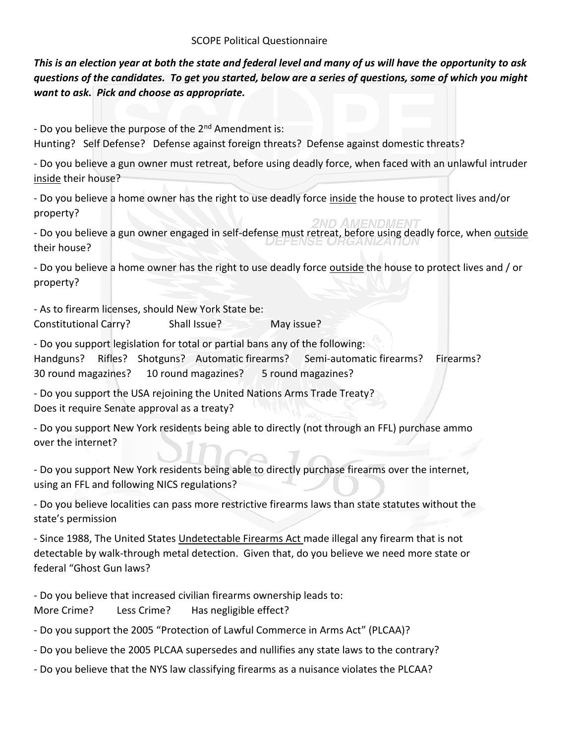## SCOPE Political Questionnaire

*This is an election year at both the state and federal level and many of us will have the opportunity to ask questions of the candidates. To get you started, below are a series of questions, some of which you might want to ask. Pick and choose as appropriate.* 

- Do you believe the purpose of the 2<sup>nd</sup> Amendment is:

Hunting? Self Defense? Defense against foreign threats? Defense against domestic threats?

- Do you believe a gun owner must retreat, before using deadly force, when faced with an unlawful intruder inside their house?

- Do you believe a home owner has the right to use deadly force inside the house to protect lives and/or property?

- Do you believe a gun owner engaged in self-defense must retreat, before using deadly force, when outside their house?

- Do you believe a home owner has the right to use deadly force outside the house to protect lives and / or property?

- As to firearm licenses, should New York State be: Constitutional Carry? Shall Issue? May issue?

- Do you support legislation for total or partial bans any of the following: Handguns? Rifles? Shotguns? Automatic firearms? Semi-automatic firearms? Firearms? 30 round magazines? 10 round magazines? 5 round magazines?

- Do you support the USA rejoining the United Nations Arms Trade Treaty? Does it require Senate approval as a treaty?

- Do you support New York residents being able to directly (not through an FFL) purchase ammo over the internet?

- Do you support New York residents being able to directly purchase firearms over the internet, using an FFL and following NICS regulations?

- Do you believe localities can pass more restrictive firearms laws than state statutes without the state's permission

- Since 1988, The United States Undetectable Firearms Act made illegal any firearm that is not detectable by walk-through [metal detection.](https://en.wikipedia.org/wiki/Metal_detector) Given that, do you believe we need more state or federal "Ghost Gun laws?

- Do you believe that increased civilian firearms ownership leads to:

More Crime? Less Crime? Has negligible effect?

- Do you support the 2005 "Protection of Lawful Commerce in Arms Act" (PLCAA)?

- Do you believe the 2005 PLCAA supersedes and nullifies any state laws to the contrary?

- Do you believe that the NYS law classifying firearms as a nuisance violates the PLCAA?